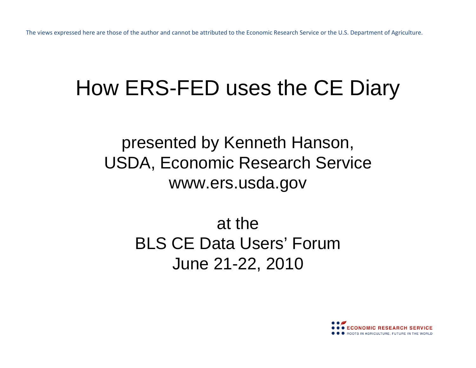The views expressed here are those of the author and cannot be attributed to the Economic Research Service or the U.S. Department of Agriculture.

## How ERS-FED uses the CE Diary

presented by Kenneth Hanson, USDA, Economic Research Service www.ers.usda.gov

> at theBLS CE Data Users' ForumJune 21-22, 2010

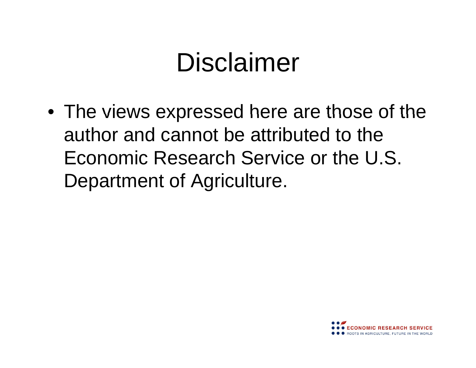# Disclaimer

• The views expressed here are those of the author and cannot be attributed to the Economic Research Service or the U.S. Department of Agriculture.

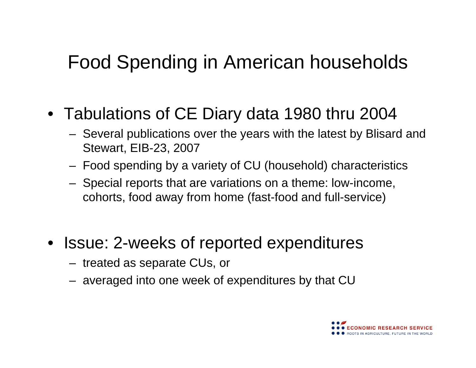## Food Spending in American households

- Tabulations of CE Diary data 1980 thru 2004
	- Several publications over the years with the latest by Blisard and Stewart, EIB-23, 2007
	- Food spending by a variety of CU (household) characteristics
	- Special reports that are variations on a theme: low-income, cohorts, food away from home (fast-food and full-service)
- Issue: 2-weeks of reported expenditures
	- treated as separate CUs, or
	- averaged into one week of expenditures by that CU

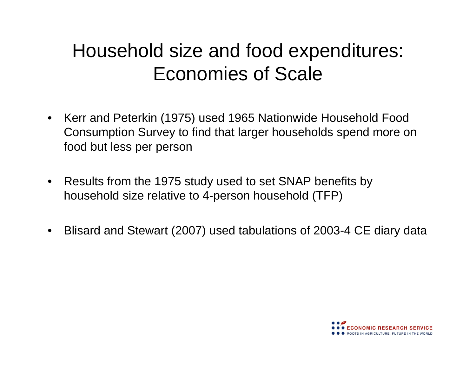## Household size and food expenditures: Economies of Scale

- Kerr and Peterkin (1975) used 1965 Nationwide Household Food Consumption Survey to find that larger households spend more on food but less per person
- $\bullet$  Results from the 1975 study used to set SNAP benefits by household size relative to 4-person household (TFP)
- $\bullet$ Blisard and Stewart (2007) used tabulations of 2003-4 CE diary data

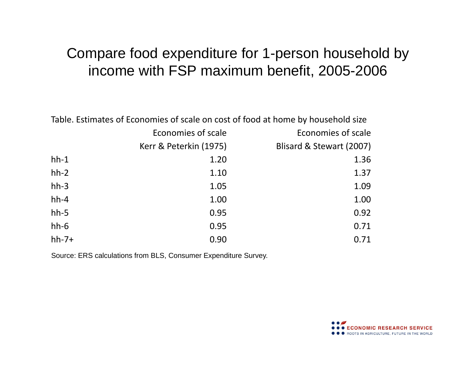### Compare food expenditure for 1-person household by income with FSP maximum benefit, 2005-2006

| Table. Estimates of Economies of scale on cost of food at home by household size |                        |                          |  |  |  |
|----------------------------------------------------------------------------------|------------------------|--------------------------|--|--|--|
|                                                                                  | Economies of scale     | Economies of scale       |  |  |  |
|                                                                                  | Kerr & Peterkin (1975) | Blisard & Stewart (2007) |  |  |  |
| $hh-1$                                                                           | 1.20                   | 1.36                     |  |  |  |
| $hh-2$                                                                           | 1.10                   | 1.37                     |  |  |  |
| $hh-3$                                                                           | 1.05                   | 1.09                     |  |  |  |
| $hh-4$                                                                           | 1.00                   | 1.00                     |  |  |  |
| $hh-5$                                                                           | 0.95                   | 0.92                     |  |  |  |
| $hh-6$                                                                           | 0.95                   | 0.71                     |  |  |  |
| $hh-7+$                                                                          | 0.90                   | 0.71                     |  |  |  |

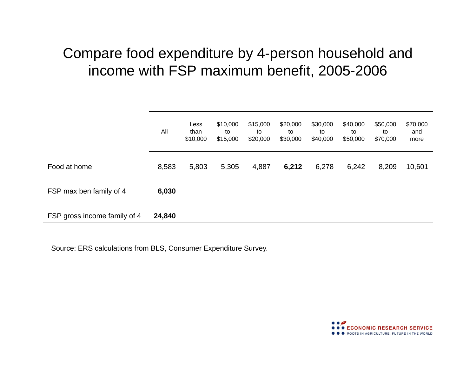### Compare food expenditure by 4-person household and income with FSP maximum benefit, 2005-2006

|                              | All    | Less<br>than<br>\$10,000 | \$10,000<br>to<br>\$15,000 | \$15,000<br>to<br>\$20,000 | \$20,000<br>to<br>\$30,000 | \$30,000<br>to<br>\$40,000 | \$40,000<br>to<br>\$50,000 | \$50,000<br>to<br>\$70,000 | \$70,000<br>and<br>more |
|------------------------------|--------|--------------------------|----------------------------|----------------------------|----------------------------|----------------------------|----------------------------|----------------------------|-------------------------|
| Food at home                 | 8,583  | 5,803                    | 5,305                      | 4,887                      | 6,212                      | 6,278                      | 6,242                      | 8,209                      | 10,601                  |
| FSP max ben family of 4      | 6,030  |                          |                            |                            |                            |                            |                            |                            |                         |
| FSP gross income family of 4 | 24,840 |                          |                            |                            |                            |                            |                            |                            |                         |

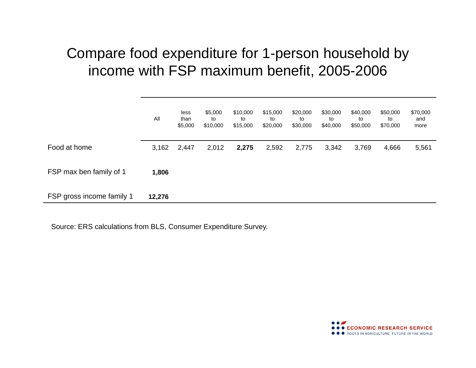### Compare food expenditure for 1-person household by income with FSP maximum benefit, 2005-2006

|                           | All    | less<br>than<br>\$5,000 | \$5,000<br>to<br>\$10,000 | \$10,000<br>to<br>\$15,000 | \$15,000<br>to<br>\$20,000 | \$20,000<br>to<br>\$30,000 | \$30,000<br>to<br>\$40,000 | \$40,000<br>to<br>\$50,000 | \$50,000<br>to<br>\$70,000 | \$70,000<br>and<br>more |
|---------------------------|--------|-------------------------|---------------------------|----------------------------|----------------------------|----------------------------|----------------------------|----------------------------|----------------------------|-------------------------|
| Food at home              | 3,162  | 2,447                   | 2,012                     | 2,275                      | 2,592                      | 2,775                      | 3,342                      | 3,769                      | 4,666                      | 5,561                   |
| FSP max ben family of 1   | 1,806  |                         |                           |                            |                            |                            |                            |                            |                            |                         |
| FSP gross income family 1 | 12,276 |                         |                           |                            |                            |                            |                            |                            |                            |                         |

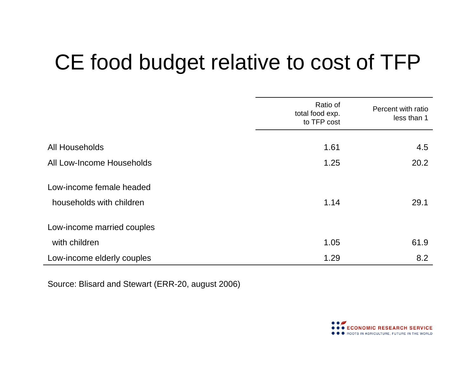## CE food budget relative to cost of TFP

|                                                      | Ratio of<br>total food exp.<br>to TFP cost | Percent with ratio<br>less than 1 |
|------------------------------------------------------|--------------------------------------------|-----------------------------------|
|                                                      |                                            |                                   |
| All Households                                       | 1.61                                       | 4.5                               |
| All Low-Income Households                            | 1.25                                       | 20.2                              |
| Low-income female headed<br>households with children | 1.14                                       | 29.1                              |
| Low-income married couples                           |                                            |                                   |
| with children                                        | 1.05                                       | 61.9                              |
| Low-income elderly couples                           | 1.29                                       | 8.2                               |

Source: Blisard and Stewart (ERR-20, august 2006)

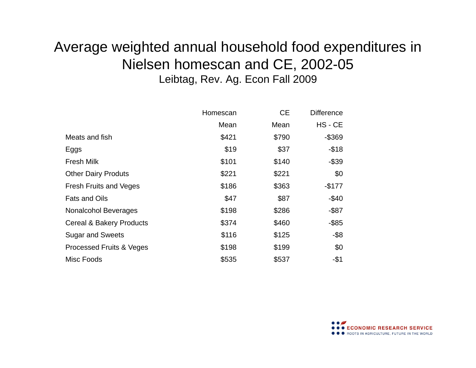#### Average weighted annual household food expenditures in Nielsen homescan and CE, 2002-05 Leibtag, Rev. Ag. Econ Fall 2009

|                                     | Homescan | <b>CE</b> | <b>Difference</b> |
|-------------------------------------|----------|-----------|-------------------|
|                                     | Mean     | Mean      | HS - CE           |
| Meats and fish                      | \$421    | \$790     | $-$ \$369         |
| Eggs                                | \$19     | \$37      | $-$18$            |
| <b>Fresh Milk</b>                   | \$101    | \$140     | $-$ \$39          |
| <b>Other Dairy Produts</b>          | \$221    | \$221     | \$0               |
| <b>Fresh Fruits and Veges</b>       | \$186    | \$363     | $-$ \$177         |
| <b>Fats and Oils</b>                | \$47     | \$87      | $-$40$            |
| <b>Nonalcohol Beverages</b>         | \$198    | \$286     | $-$ \$87          |
| <b>Cereal &amp; Bakery Products</b> | \$374    | \$460     | $-$ \$85          |
| <b>Sugar and Sweets</b>             | \$116    | \$125     | $-$ \$8           |
| <b>Processed Fruits &amp; Veges</b> | \$198    | \$199     | \$0               |
| Misc Foods                          | \$535    | \$537     | -\$1              |

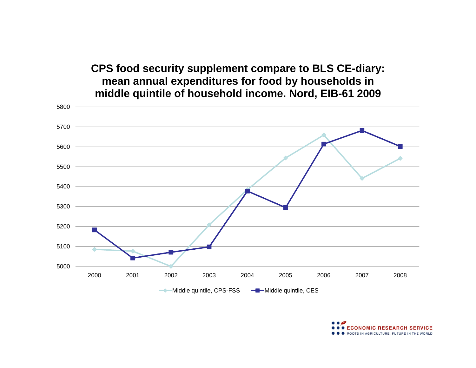#### **CPS food security supplement compare to BLS CE diary:** mean annual expenditures for food by households in **middle quintile of household income. Nord, EIB-61 2009**



**. ECONOMIC RESEARCH SERVICE O** ROOTS IN AGRICULTURE, FUTURE IN THE WORLD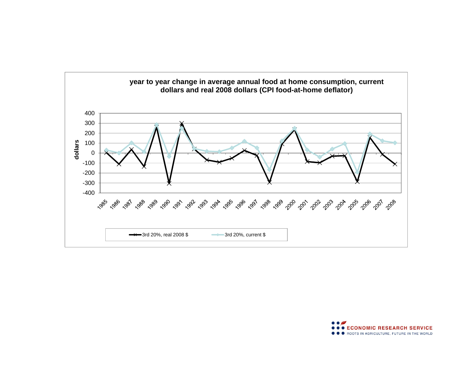

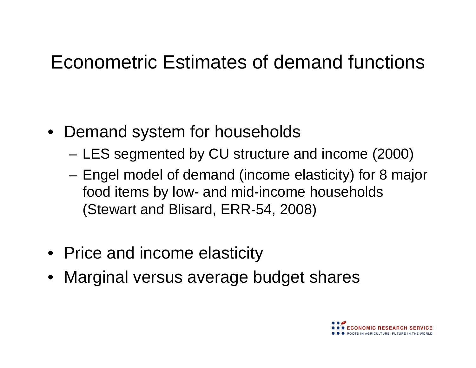## Econometric Estimates of demand functions

- Demand system for households
	- LES segmented by CU structure and income (2000)
	- – Engel model of demand (income elasticity) for 8 major food items by low- and mid-income households (Stewart and Blisard, ERR-54, 2008)
- Price and income elasticity
- Marginal versus average budget shares

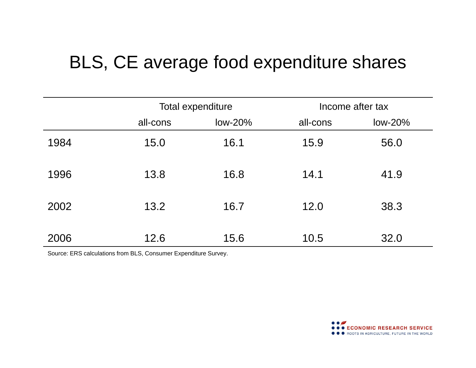### BLS, CE average food expenditure shares

|      |          | Total expenditure |          | Income after tax |
|------|----------|-------------------|----------|------------------|
|      | all-cons | $low-20%$         | all-cons | $low-20\%$       |
| 1984 | 15.0     | 16.1              | 15.9     | 56.0             |
| 1996 | 13.8     | 16.8              | 14.1     | 41.9             |
| 2002 | 13.2     | 16.7              | 12.0     | 38.3             |
| 2006 | 12.6     | 15.6              | 10.5     | 32.0             |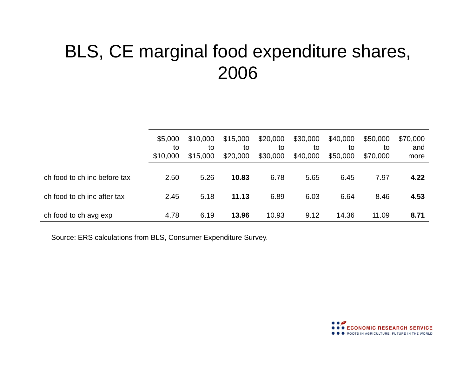## BLS, CE marginal food expenditure shares, 2006

|                              | \$5,000<br>to<br>\$10,000 | \$10,000<br>to<br>\$15,000 | \$15,000<br>to<br>\$20,000 | \$20,000<br>to<br>\$30,000 | \$30,000<br>to<br>\$40,000 | \$40,000<br>to<br>\$50,000 | \$50,000<br>to<br>\$70,000 | \$70,000<br>and<br>more |
|------------------------------|---------------------------|----------------------------|----------------------------|----------------------------|----------------------------|----------------------------|----------------------------|-------------------------|
| ch food to ch inc before tax | $-2.50$                   | 5.26                       | 10.83                      | 6.78                       | 5.65                       | 6.45                       | 7.97                       | 4.22                    |
| ch food to ch inc after tax  | $-2.45$                   | 5.18                       | 11.13                      | 6.89                       | 6.03                       | 6.64                       | 8.46                       | 4.53                    |
| ch food to ch avg exp        | 4.78                      | 6.19                       | 13.96                      | 10.93                      | 9.12                       | 14.36                      | 11.09                      | 8.71                    |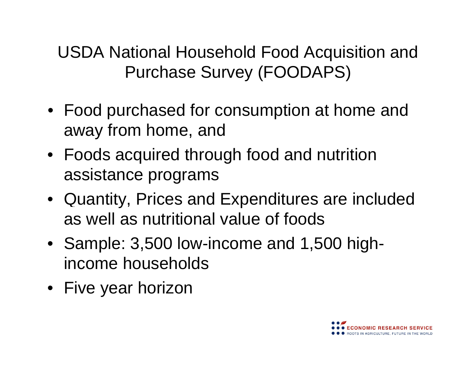USDA National Household Food Acquisition and Purchase Survey (FOODAPS)

- $\bullet~$  Food purchased for consumption at home and away from home, and
- Foods acquired through food and nutrition assistance programs
- Quantity, Prices and Ex penditures are included as well as nutritional value of foods
- Sample: 3,500 low-income and 1,500 highincome households
- Five year horizon

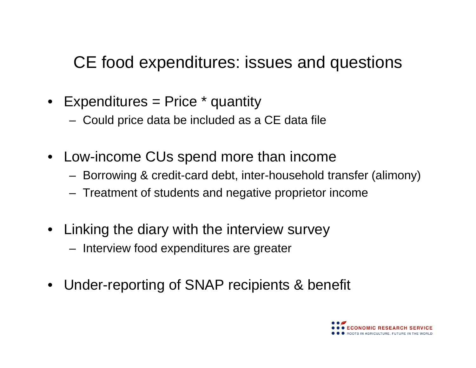CE food expenditures: issues and questions

- Expenditures = Price \* quantity
	- Could price data be included as a CE data file
- $\bullet~$  Low-income CUs spend more than income
	- Borrowing & credit-card debt, inter-household transfer (alimony)
	- Treatment of students and negative proprietor income
- Linking the diary with the interview survey
	- Interview food expenditures are greater
- •Under-reporting of SNAP recipients & benefit